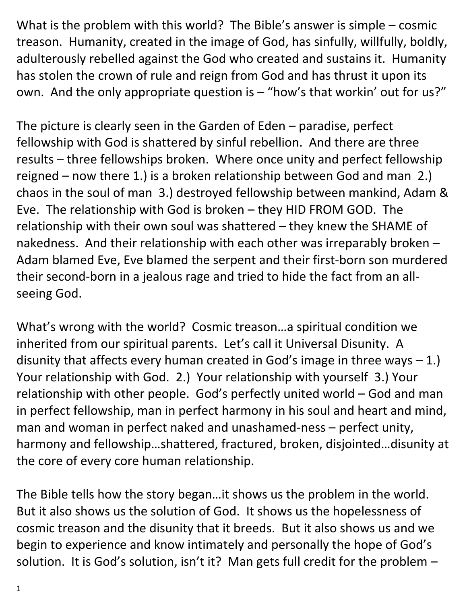What is the problem with this world? The Bible's answer is simple – cosmic treason. Humanity, created in the image of God, has sinfully, willfully, boldly, adulterously rebelled against the God who created and sustains it. Humanity has stolen the crown of rule and reign from God and has thrust it upon its own. And the only appropriate question is – "how's that workin' out for us?"

The picture is clearly seen in the Garden of Eden – paradise, perfect fellowship with God is shattered by sinful rebellion. And there are three results – three fellowships broken. Where once unity and perfect fellowship reigned – now there 1.) is a broken relationship between God and man 2.) chaos in the soul of man 3.) destroyed fellowship between mankind, Adam & Eve. The relationship with God is broken – they HID FROM GOD. The relationship with their own soul was shattered – they knew the SHAME of nakedness. And their relationship with each other was irreparably broken – Adam blamed Eve, Eve blamed the serpent and their first-born son murdered their second-born in a jealous rage and tried to hide the fact from an allseeing God.

What's wrong with the world? Cosmic treason…a spiritual condition we inherited from our spiritual parents. Let's call it Universal Disunity. A disunity that affects every human created in God's image in three ways  $-1$ .) Your relationship with God. 2.) Your relationship with yourself 3.) Your relationship with other people. God's perfectly united world – God and man in perfect fellowship, man in perfect harmony in his soul and heart and mind, man and woman in perfect naked and unashamed-ness – perfect unity, harmony and fellowship…shattered, fractured, broken, disjointed…disunity at the core of every core human relationship.

The Bible tells how the story began…it shows us the problem in the world. But it also shows us the solution of God. It shows us the hopelessness of cosmic treason and the disunity that it breeds. But it also shows us and we begin to experience and know intimately and personally the hope of God's solution. It is God's solution, isn't it? Man gets full credit for the problem –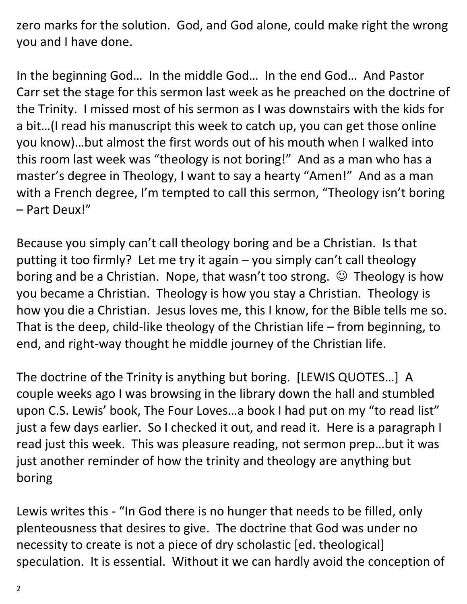zero marks for the solution. God, and God alone, could make right the wrong you and I have done.

In the beginning God… In the middle God… In the end God… And Pastor Carr set the stage for this sermon last week as he preached on the doctrine of the Trinity. I missed most of his sermon as I was downstairs with the kids for a bit…(I read his manuscript this week to catch up, you can get those online you know)…but almost the first words out of his mouth when I walked into this room last week was "theology is not boring!" And as a man who has a master's degree in Theology, I want to say a hearty "Amen!" And as a man with a French degree, I'm tempted to call this sermon, "Theology isn't boring – Part Deux!"

Because you simply can't call theology boring and be a Christian. Is that putting it too firmly? Let me try it again – you simply can't call theology boring and be a Christian. Nope, that wasn't too strong.  $\odot$  Theology is how you became a Christian. Theology is how you stay a Christian. Theology is how you die a Christian. Jesus loves me, this I know, for the Bible tells me so. That is the deep, child-like theology of the Christian life – from beginning, to end, and right-way thought he middle journey of the Christian life.

The doctrine of the Trinity is anything but boring. [LEWIS QUOTES…] A couple weeks ago I was browsing in the library down the hall and stumbled upon C.S. Lewis' book, The Four Loves…a book I had put on my "to read list" just a few days earlier. So I checked it out, and read it. Here is a paragraph I read just this week. This was pleasure reading, not sermon prep…but it was just another reminder of how the trinity and theology are anything but boring

Lewis writes this - "In God there is no hunger that needs to be filled, only plenteousness that desires to give. The doctrine that God was under no necessity to create is not a piece of dry scholastic [ed. theological] speculation. It is essential. Without it we can hardly avoid the conception of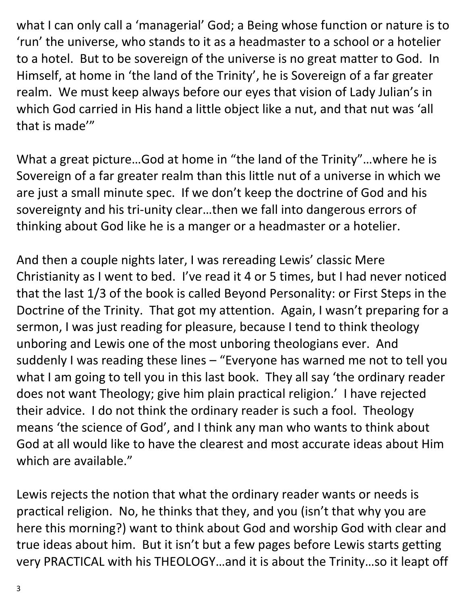what I can only call a 'managerial' God; a Being whose function or nature is to 'run' the universe, who stands to it as a headmaster to a school or a hotelier to a hotel. But to be sovereign of the universe is no great matter to God. In Himself, at home in 'the land of the Trinity', he is Sovereign of a far greater realm. We must keep always before our eyes that vision of Lady Julian's in which God carried in His hand a little object like a nut, and that nut was 'all that is made'"

What a great picture…God at home in "the land of the Trinity"…where he is Sovereign of a far greater realm than this little nut of a universe in which we are just a small minute spec. If we don't keep the doctrine of God and his sovereignty and his tri-unity clear…then we fall into dangerous errors of thinking about God like he is a manger or a headmaster or a hotelier.

And then a couple nights later, I was rereading Lewis' classic Mere Christianity as I went to bed. I've read it 4 or 5 times, but I had never noticed that the last 1/3 of the book is called Beyond Personality: or First Steps in the Doctrine of the Trinity. That got my attention. Again, I wasn't preparing for a sermon, I was just reading for pleasure, because I tend to think theology unboring and Lewis one of the most unboring theologians ever. And suddenly I was reading these lines – "Everyone has warned me not to tell you what I am going to tell you in this last book. They all say 'the ordinary reader does not want Theology; give him plain practical religion.' I have rejected their advice. I do not think the ordinary reader is such a fool. Theology means 'the science of God', and I think any man who wants to think about God at all would like to have the clearest and most accurate ideas about Him which are available."

Lewis rejects the notion that what the ordinary reader wants or needs is practical religion. No, he thinks that they, and you (isn't that why you are here this morning?) want to think about God and worship God with clear and true ideas about him. But it isn't but a few pages before Lewis starts getting very PRACTICAL with his THEOLOGY…and it is about the Trinity…so it leapt off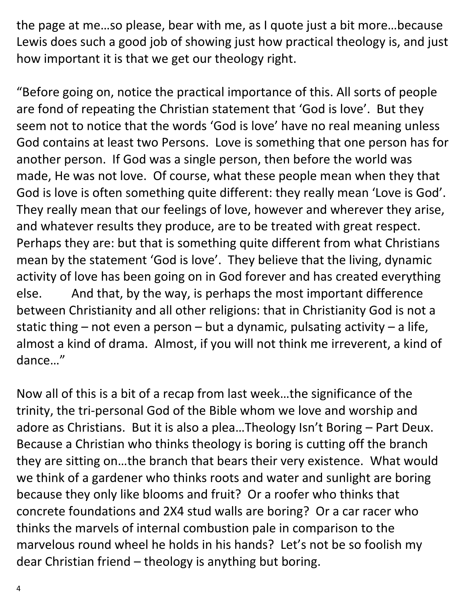the page at me…so please, bear with me, as I quote just a bit more…because Lewis does such a good job of showing just how practical theology is, and just how important it is that we get our theology right.

"Before going on, notice the practical importance of this. All sorts of people are fond of repeating the Christian statement that 'God is love'. But they seem not to notice that the words 'God is love' have no real meaning unless God contains at least two Persons. Love is something that one person has for another person. If God was a single person, then before the world was made, He was not love. Of course, what these people mean when they that God is love is often something quite different: they really mean 'Love is God'. They really mean that our feelings of love, however and wherever they arise, and whatever results they produce, are to be treated with great respect. Perhaps they are: but that is something quite different from what Christians mean by the statement 'God is love'. They believe that the living, dynamic activity of love has been going on in God forever and has created everything else. And that, by the way, is perhaps the most important difference between Christianity and all other religions: that in Christianity God is not a static thing – not even a person – but a dynamic, pulsating activity – a life, almost a kind of drama. Almost, if you will not think me irreverent, a kind of dance…"

Now all of this is a bit of a recap from last week…the significance of the trinity, the tri-personal God of the Bible whom we love and worship and adore as Christians. But it is also a plea…Theology Isn't Boring – Part Deux. Because a Christian who thinks theology is boring is cutting off the branch they are sitting on…the branch that bears their very existence. What would we think of a gardener who thinks roots and water and sunlight are boring because they only like blooms and fruit? Or a roofer who thinks that concrete foundations and 2X4 stud walls are boring? Or a car racer who thinks the marvels of internal combustion pale in comparison to the marvelous round wheel he holds in his hands? Let's not be so foolish my dear Christian friend – theology is anything but boring.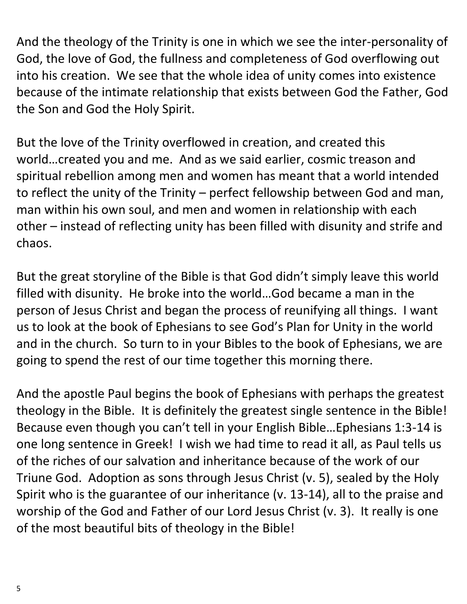And the theology of the Trinity is one in which we see the inter-personality of God, the love of God, the fullness and completeness of God overflowing out into his creation. We see that the whole idea of unity comes into existence because of the intimate relationship that exists between God the Father, God the Son and God the Holy Spirit.

But the love of the Trinity overflowed in creation, and created this world…created you and me. And as we said earlier, cosmic treason and spiritual rebellion among men and women has meant that a world intended to reflect the unity of the Trinity – perfect fellowship between God and man, man within his own soul, and men and women in relationship with each other – instead of reflecting unity has been filled with disunity and strife and chaos.

But the great storyline of the Bible is that God didn't simply leave this world filled with disunity. He broke into the world…God became a man in the person of Jesus Christ and began the process of reunifying all things. I want us to look at the book of Ephesians to see God's Plan for Unity in the world and in the church. So turn to in your Bibles to the book of Ephesians, we are going to spend the rest of our time together this morning there.

And the apostle Paul begins the book of Ephesians with perhaps the greatest theology in the Bible. It is definitely the greatest single sentence in the Bible! Because even though you can't tell in your English Bible…Ephesians 1:3-14 is one long sentence in Greek! I wish we had time to read it all, as Paul tells us of the riches of our salvation and inheritance because of the work of our Triune God. Adoption as sons through Jesus Christ (v. 5), sealed by the Holy Spirit who is the guarantee of our inheritance (v. 13-14), all to the praise and worship of the God and Father of our Lord Jesus Christ (v. 3). It really is one of the most beautiful bits of theology in the Bible!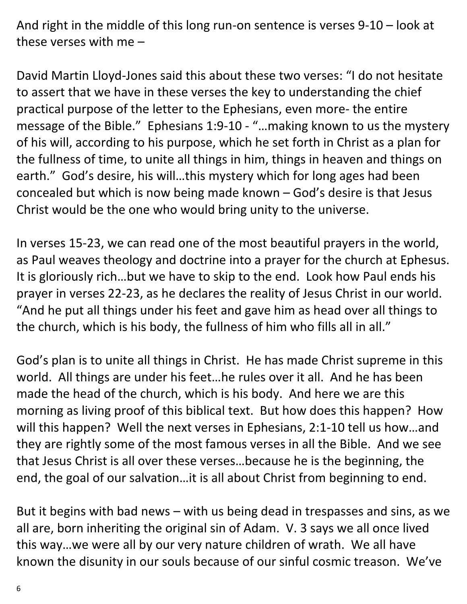And right in the middle of this long run-on sentence is verses 9-10 – look at these verses with me –

David Martin Lloyd-Jones said this about these two verses: "I do not hesitate to assert that we have in these verses the key to understanding the chief practical purpose of the letter to the Ephesians, even more- the entire message of the Bible." Ephesians 1:9-10 - "…making known to us the mystery of his will, according to his purpose, which he set forth in Christ as a plan for the fullness of time, to unite all things in him, things in heaven and things on earth." God's desire, his will…this mystery which for long ages had been concealed but which is now being made known – God's desire is that Jesus Christ would be the one who would bring unity to the universe.

In verses 15-23, we can read one of the most beautiful prayers in the world, as Paul weaves theology and doctrine into a prayer for the church at Ephesus. It is gloriously rich…but we have to skip to the end. Look how Paul ends his prayer in verses 22-23, as he declares the reality of Jesus Christ in our world. "And he put all things under his feet and gave him as head over all things to the church, which is his body, the fullness of him who fills all in all."

God's plan is to unite all things in Christ. He has made Christ supreme in this world. All things are under his feet…he rules over it all. And he has been made the head of the church, which is his body. And here we are this morning as living proof of this biblical text. But how does this happen? How will this happen? Well the next verses in Ephesians, 2:1-10 tell us how…and they are rightly some of the most famous verses in all the Bible. And we see that Jesus Christ is all over these verses…because he is the beginning, the end, the goal of our salvation…it is all about Christ from beginning to end.

But it begins with bad news – with us being dead in trespasses and sins, as we all are, born inheriting the original sin of Adam. V. 3 says we all once lived this way…we were all by our very nature children of wrath. We all have known the disunity in our souls because of our sinful cosmic treason. We've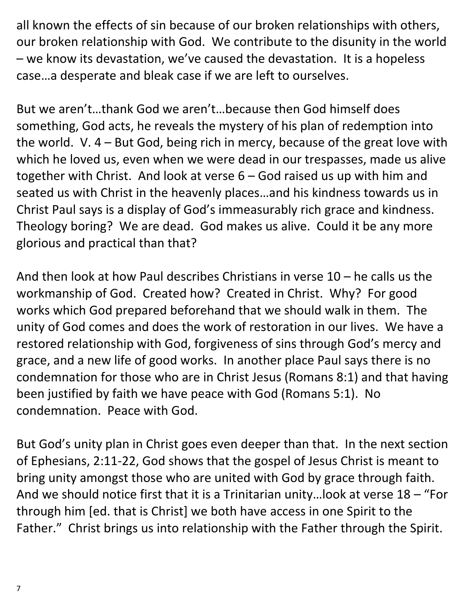all known the effects of sin because of our broken relationships with others, our broken relationship with God. We contribute to the disunity in the world – we know its devastation, we've caused the devastation. It is a hopeless case…a desperate and bleak case if we are left to ourselves.

But we aren't…thank God we aren't…because then God himself does something, God acts, he reveals the mystery of his plan of redemption into the world. V. 4 – But God, being rich in mercy, because of the great love with which he loved us, even when we were dead in our trespasses, made us alive together with Christ. And look at verse 6 – God raised us up with him and seated us with Christ in the heavenly places…and his kindness towards us in Christ Paul says is a display of God's immeasurably rich grace and kindness. Theology boring? We are dead. God makes us alive. Could it be any more glorious and practical than that?

And then look at how Paul describes Christians in verse 10 – he calls us the workmanship of God. Created how? Created in Christ. Why? For good works which God prepared beforehand that we should walk in them. The unity of God comes and does the work of restoration in our lives. We have a restored relationship with God, forgiveness of sins through God's mercy and grace, and a new life of good works. In another place Paul says there is no condemnation for those who are in Christ Jesus (Romans 8:1) and that having been justified by faith we have peace with God (Romans 5:1). No condemnation. Peace with God.

But God's unity plan in Christ goes even deeper than that. In the next section of Ephesians, 2:11-22, God shows that the gospel of Jesus Christ is meant to bring unity amongst those who are united with God by grace through faith. And we should notice first that it is a Trinitarian unity…look at verse 18 – "For through him [ed. that is Christ] we both have access in one Spirit to the Father." Christ brings us into relationship with the Father through the Spirit.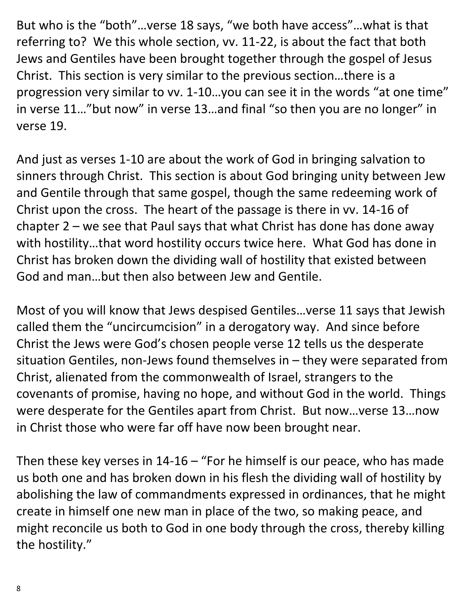But who is the "both"…verse 18 says, "we both have access"…what is that referring to? We this whole section, vv. 11-22, is about the fact that both Jews and Gentiles have been brought together through the gospel of Jesus Christ. This section is very similar to the previous section…there is a progression very similar to vv. 1-10…you can see it in the words "at one time" in verse 11…"but now" in verse 13…and final "so then you are no longer" in verse 19.

And just as verses 1-10 are about the work of God in bringing salvation to sinners through Christ. This section is about God bringing unity between Jew and Gentile through that same gospel, though the same redeeming work of Christ upon the cross. The heart of the passage is there in vv. 14-16 of chapter  $2$  – we see that Paul says that what Christ has done has done away with hostility…that word hostility occurs twice here. What God has done in Christ has broken down the dividing wall of hostility that existed between God and man…but then also between Jew and Gentile.

Most of you will know that Jews despised Gentiles…verse 11 says that Jewish called them the "uncircumcision" in a derogatory way. And since before Christ the Jews were God's chosen people verse 12 tells us the desperate situation Gentiles, non-Jews found themselves in – they were separated from Christ, alienated from the commonwealth of Israel, strangers to the covenants of promise, having no hope, and without God in the world. Things were desperate for the Gentiles apart from Christ. But now…verse 13…now in Christ those who were far off have now been brought near.

Then these key verses in  $14-16$  – "For he himself is our peace, who has made us both one and has broken down in his flesh the dividing wall of hostility by abolishing the law of commandments expressed in ordinances, that he might create in himself one new man in place of the two, so making peace, and might reconcile us both to God in one body through the cross, thereby killing the hostility."